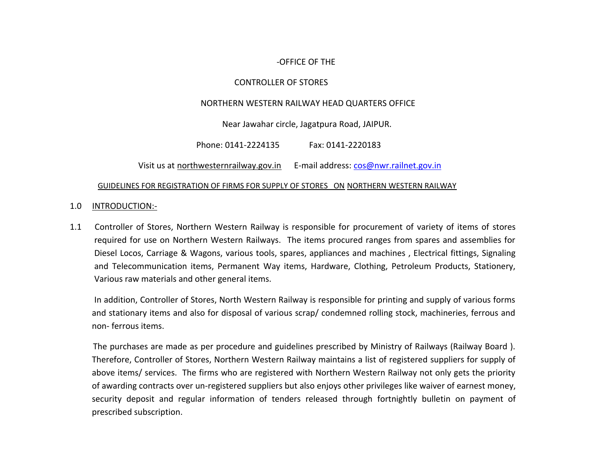## -OFFICE OF THE

## CONTROLLER OF STORES

## NORTHERN WESTERN RAILWAY HEAD QUARTERS OFFICE

Near Jawahar circle, Jagatpura Road, JAIPUR.

Phone: 0141-2224135 Fax: 0141-2220183

Visit us at [northwesternrailway.gov.in](mailto:northwesternrailway.gov.in) E-mail address: [cos@nwr.railnet.gov.in](mailto:cos@nwr.railnet.gov.in)

#### GUIDELINES FOR REGISTRATION OF FIRMS FOR SUPPLY OF STORES ON NORTHERN WESTERN RAILWAY

## 1.0 INTRODUCTION:-

1.1 Controller of Stores, Northern Western Railway is responsible for procurement of variety of items of stores required for use on Northern Western Railways. The items procured ranges from spares and assemblies for Diesel Locos, Carriage & Wagons, various tools, spares, appliances and machines , Electrical fittings, Signaling and Telecommunication items, Permanent Way items, Hardware, Clothing, Petroleum Products, Stationery, Various raw materials and other general items.

 In addition, Controller of Stores, North Western Railway is responsible for printing and supply of various forms and stationary items and also for disposal of various scrap/ condemned rolling stock, machineries, ferrous and non- ferrous items.

The purchases are made as per procedure and guidelines prescribed by Ministry of Railways (Railway Board ). Therefore, Controller of Stores, Northern Western Railway maintains a list of registered suppliers for supply of above items/ services. The firms who are registered with Northern Western Railway not only gets the priority of awarding contracts over un-registered suppliers but also enjoys other privileges like waiver of earnest money, security deposit and regular information of tenders released through fortnightly bulletin on payment of prescribed subscription.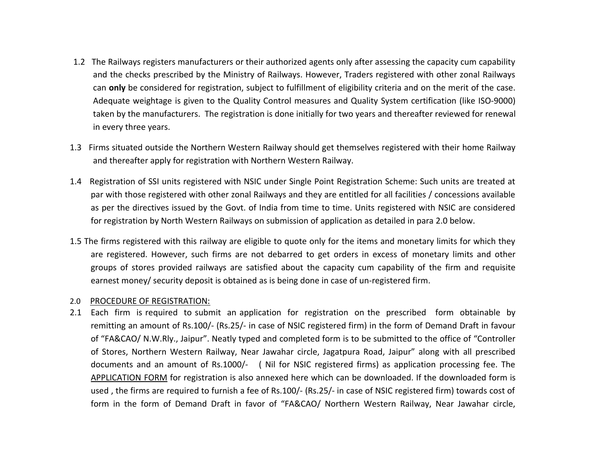- 1.2 The Railways registers manufacturers or their authorized agents only after assessing the capacity cum capability and the checks prescribed by the Ministry of Railways. However, Traders registered with other zonal Railways can **only** be considered for registration, subject to fulfillment of eligibility criteria and on the merit of the case. Adequate weightage is given to the Quality Control measures and Quality System certification (like ISO-9000) taken by the manufacturers. The registration is done initially for two years and thereafter reviewed for renewal in every three years.
- 1.3 Firms situated outside the Northern Western Railway should get themselves registered with their home Railway and thereafter apply for registration with Northern Western Railway.
- 1.4 Registration of SSI units registered with NSIC under Single Point Registration Scheme: Such units are treated at par with those registered with other zonal Railways and they are entitled for all facilities / concessions available as per the directives issued by the Govt. of India from time to time. Units registered with NSIC are considered for registration by North Western Railways on submission of application as detailed in para 2.0 below.
- 1.5 The firms registered with this railway are eligible to quote only for the items and monetary limits for which they are registered. However, such firms are not debarred to get orders in excess of monetary limits and other groups of stores provided railways are satisfied about the capacity cum capability of the firm and requisite earnest money/ security deposit is obtained as is being done in case of un-registered firm.

#### 2.0 PROCEDURE OF REGISTRATION:

2.1 Each firm is required to submit an application for registration on the prescribed form obtainable by remitting an amount of Rs.100/- (Rs.25/- in case of NSIC registered firm) in the form of Demand Draft in favour of "FA&CAO/ N.W.Rly., Jaipur". Neatly typed and completed form is to be submitted to the office of "Controller of Stores, Northern Western Railway, Near Jawahar circle, Jagatpura Road, Jaipur" along with all prescribed documents and an amount of Rs.1000/- ( Nil for NSIC registered firms) as application processing fee. The [APPLICATION FORM](file:///C:/Documents and Settings/cionwr/Local Settings/Temp/Application Form.pdf) for registration is also annexed here which can be downloaded. If the downloaded form is used , the firms are required to furnish a fee of Rs.100/- (Rs.25/- in case of NSIC registered firm) towards cost of form in the form of Demand Draft in favor of "FA&CAO/ Northern Western Railway, Near Jawahar circle,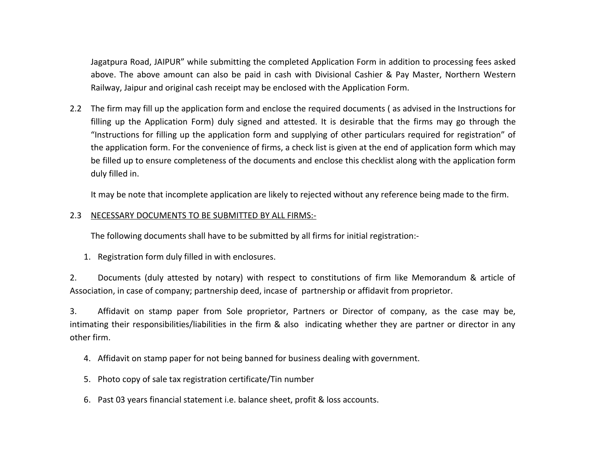Jagatpura Road, JAIPUR" while submitting the completed Application Form in addition to processing fees asked above. The above amount can also be paid in cash with Divisional Cashier & Pay Master, Northern Western Railway, Jaipur and original cash receipt may be enclosed with the Application Form.

2.2 The firm may fill up the application form and enclose the required documents ( as advised in the Instructions for filling up the Application Form) duly signed and attested. It is desirable that the firms may go through the "Instructions for filling up the application form and supplying of other particulars required for registration" of the application form. For the convenience of firms, a check list is given at the end of application form which may be filled up to ensure completeness of the documents and enclose this checklist along with the application form duly filled in.

It may be note that incomplete application are likely to rejected without any reference being made to the firm.

## 2.3 NECESSARY DOCUMENTS TO BE SUBMITTED BY ALL FIRMS:-

The following documents shall have to be submitted by all firms for initial registration:-

1. Registration form duly filled in with enclosures.

2. Documents (duly attested by notary) with respect to constitutions of firm like Memorandum & article of Association, in case of company; partnership deed, incase of partnership or affidavit from proprietor.

3. Affidavit on stamp paper from Sole proprietor, Partners or Director of company, as the case may be, intimating their responsibilities/liabilities in the firm & also indicating whether they are partner or director in any other firm.

- 4. Affidavit on stamp paper for not being banned for business dealing with government.
- 5. Photo copy of sale tax registration certificate/Tin number
- 6. Past 03 years financial statement i.e. balance sheet, profit & loss accounts.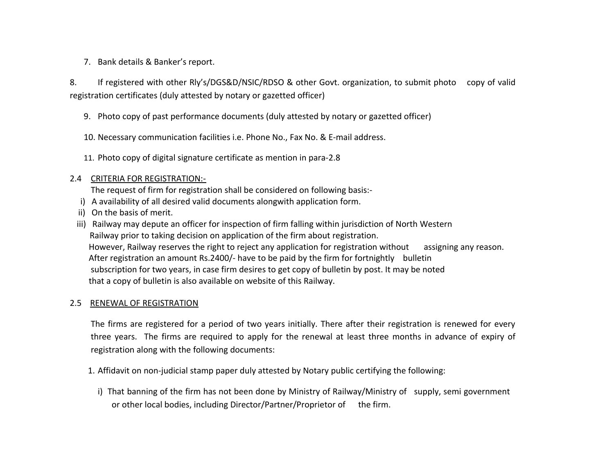7. Bank details & Banker's report.

8. If registered with other Rly's/DGS&D/NSIC/RDSO & other Govt. organization, to submit photo copy of valid registration certificates (duly attested by notary or gazetted officer)

- 9. Photo copy of past performance documents (duly attested by notary or gazetted officer)
- 10. Necessary communication facilities i.e. Phone No., Fax No. & E-mail address.
- 11. Photo copy of digital signature certificate as mention in para-2.8

## 2.4 CRITERIA FOR REGISTRATION:-

The request of firm for registration shall be considered on following basis:-

- i) A availability of all desired valid documents alongwith application form.
- ii) On the basis of merit.
- iii) Railway may depute an officer for inspection of firm falling within jurisdiction of North Western Railway prior to taking decision on application of the firm about registration. However, Railway reserves the right to reject any application for registration without assigning any reason. After registration an amount Rs.2400/- have to be paid by the firm for fortnightly bulletin subscription for two years, in case firm desires to get copy of bulletin by post. It may be noted that a copy of bulletin is also available on website of this Railway.

## 2.5 RENEWAL OF REGISTRATION

The firms are registered for a period of two years initially. There after their registration is renewed for every three years. The firms are required to apply for the renewal at least three months in advance of expiry of registration along with the following documents:

- 1. Affidavit on non-judicial stamp paper duly attested by Notary public certifying the following:
	- i) That banning of the firm has not been done by Ministry of Railway/Ministry of supply, semi government or other local bodies, including Director/Partner/Proprietor of the firm.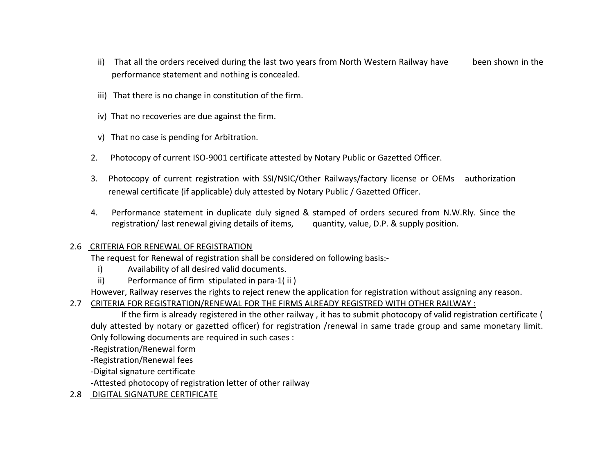- ii) That all the orders received during the last two years from North Western Railway have been shown in the performance statement and nothing is concealed.
- iii) That there is no change in constitution of the firm.
- iv) That no recoveries are due against the firm.
- v) That no case is pending for Arbitration.
- 2. Photocopy of current ISO-9001 certificate attested by Notary Public or Gazetted Officer.
- 3. Photocopy of current registration with SSI/NSIC/Other Railways/factory license or OEMs authorization renewal certificate (if applicable) duly attested by Notary Public / Gazetted Officer.
- 4. Performance statement in duplicate duly signed & stamped of orders secured from N.W.Rly. Since the registration/ last renewal giving details of items, quantity, value, D.P. & supply position.

# 2.6 CRITERIA FOR RENEWAL OF REGISTRATION

The request for Renewal of registration shall be considered on following basis:-

- i) Availability of all desired valid documents.
- ii) Performance of firm stipulated in para-1( ii )

However, Railway reserves the rights to reject renew the application for registration without assigning any reason.

# 2.7 CRITERIA FOR REGISTRATION/RENEWAL FOR THE FIRMS ALREADY REGISTRED WITH OTHER RAILWAY :

 If the firm is already registered in the other railway , it has to submit photocopy of valid registration certificate ( duly attested by notary or gazetted officer) for registration /renewal in same trade group and same monetary limit. Only following documents are required in such cases :

-Registration/Renewal form

-Registration/Renewal fees

-Digital signature certificate

-Attested photocopy of registration letter of other railway

# 2.8 DIGITAL SIGNATURE CERTIFICATE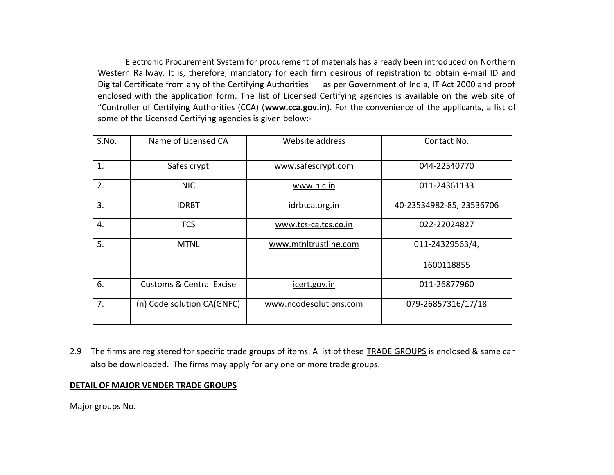Electronic Procurement System for procurement of materials has already been introduced on Northern Western Railway. It is, therefore, mandatory for each firm desirous of registration to obtain e-mail ID and Digital Certificate from any of the Certifying Authorities as per Government of India, IT Act 2000 and proof enclosed with the application form. The list of Licensed Certifying agencies is available on the web site of "Controller of Certifying Authorities (CCA) (**[www.cca.gov.in](http://www.cca.gov.in/)**). For the convenience of the applicants, a list of some of the Licensed Certifying agencies is given below:-

| S.No. | Name of Licensed CA                 | Website address        | Contact No.              |
|-------|-------------------------------------|------------------------|--------------------------|
|       |                                     |                        |                          |
| 1.    | Safes crypt                         | www.safescrypt.com     | 044-22540770             |
| 2.    | <b>NIC</b>                          | www.nic.in             | 011-24361133             |
| 3.    | <b>IDRBT</b>                        | idrbtca.org.in         | 40-23534982-85, 23536706 |
| 4.    | <b>TCS</b>                          | www.tcs-ca.tcs.co.in   | 022-22024827             |
| 5.    | <b>MTNL</b>                         | www.mtnltrustline.com  | 011-24329563/4,          |
|       |                                     |                        | 1600118855               |
| 6.    | <b>Customs &amp; Central Excise</b> | icert.gov.in           | 011-26877960             |
| 7.    | (n) Code solution CA(GNFC)          | www.ncodesolutions.com | 079-26857316/17/18       |

2.9 The firms are registered for specific trade groups of items. A list of these [TRADE GROUPS](file:///C:/Documents and Settings/cionwr/Local Settings/Temp/Trade Group.pdf) is enclosed & same can also be downloaded. The firms may apply for any one or more trade groups.

#### **DETAIL OF MAJOR VENDER TRADE GROUPS**

Major groups No.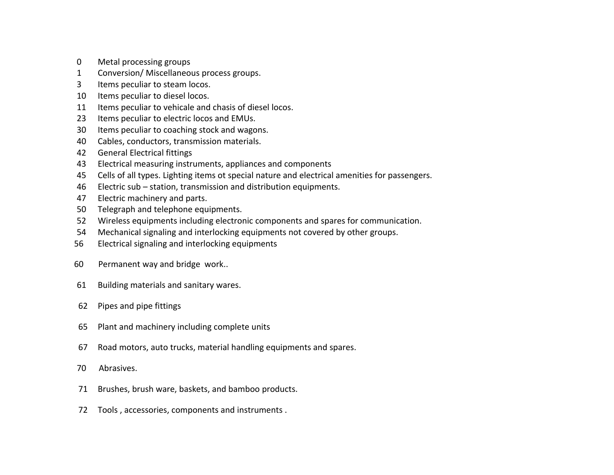- Metal processing groups
- Conversion/ Miscellaneous process groups.
- Items peculiar to steam locos.
- Items peculiar to diesel locos.
- Items peculiar to vehicale and chasis of diesel locos.
- Items peculiar to electric locos and EMUs.
- Items peculiar to coaching stock and wagons.
- Cables, conductors, transmission materials.
- General Electrical fittings
- Electrical measuring instruments, appliances and components
- Cells of all types. Lighting items ot special nature and electrical amenities for passengers.
- Electric sub station, transmission and distribution equipments.
- Electric machinery and parts.
- Telegraph and telephone equipments.
- Wireless equipments including electronic components and spares for communication.
- Mechanical signaling and interlocking equipments not covered by other groups.
- Electrical signaling and interlocking equipments
- 60 Permanent way and bridge work..
- Building materials and sanitary wares.
- Pipes and pipe fittings
- Plant and machinery including complete units
- Road motors, auto trucks, material handling equipments and spares.
- 70 Abrasives.
- Brushes, brush ware, baskets, and bamboo products.
- Tools , accessories, components and instruments .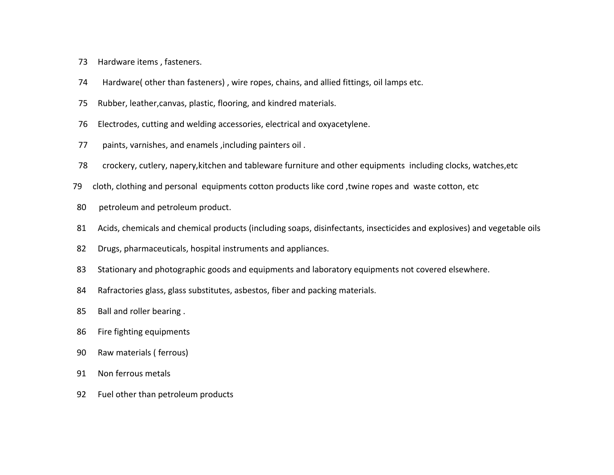- Hardware items , fasteners.
- 74 Hardware( other than fasteners) , wire ropes, chains, and allied fittings, oil lamps etc.
- Rubber, leather,canvas, plastic, flooring, and kindred materials.
- Electrodes, cutting and welding accessories, electrical and oxyacetylene.
- 77 paints, varnishes, and enamels ,including painters oil .
- 78 crockery, cutlery, napery,kitchen and tableware furniture and other equipments including clocks, watches,etc
- 79 cloth, clothing and personal equipments cotton products like cord ,twine ropes and waste cotton, etc
- 80 petroleum and petroleum product.
- Acids, chemicals and chemical products (including soaps, disinfectants, insecticides and explosives) and vegetable oils
- Drugs, pharmaceuticals, hospital instruments and appliances.
- 83 Stationary and photographic goods and equipments and laboratory equipments not covered elsewhere.
- Rafractories glass, glass substitutes, asbestos, fiber and packing materials.
- Ball and roller bearing .
- Fire fighting equipments
- Raw materials ( ferrous)
- Non ferrous metals
- Fuel other than petroleum products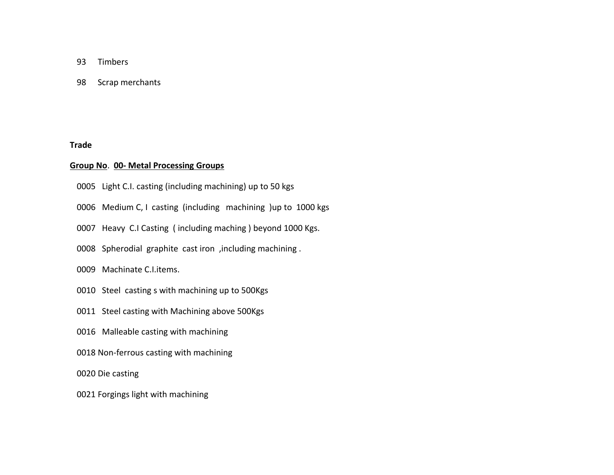- 93 Timbers
- 98 Scrap merchants

**Trade** 

#### **Group No**. **00- Metal Processing Groups**

- 0005 Light C.I. casting (including machining) up to 50 kgs
- 0006 Medium C, I casting (including machining )up to 1000 kgs
- 0007 Heavy C.I Casting ( including maching ) beyond 1000 Kgs.
- 0008 Spherodial graphite cast iron ,including machining .
- 0009 Machinate C.I.items.
- 0010 Steel casting s with machining up to 500Kgs
- 0011 Steel casting with Machining above 500Kgs
- 0016 Malleable casting with machining
- 0018 Non-ferrous casting with machining

0020 Die casting

0021 Forgings light with machining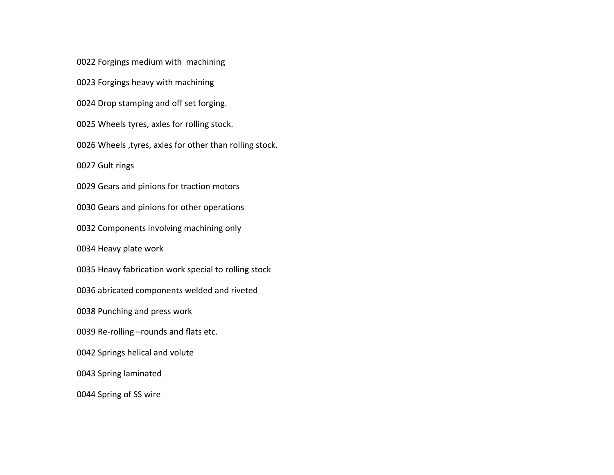Forgings medium with machining

Forgings heavy with machining

Drop stamping and off set forging.

Wheels tyres, axles for rolling stock.

Wheels ,tyres, axles for other than rolling stock.

Gult rings

Gears and pinions for traction motors

Gears and pinions for other operations

Components involving machining only

Heavy plate work

Heavy fabrication work special to rolling stock

abricated components welded and riveted

Punching and press work

Re-rolling –rounds and flats etc.

Springs helical and volute

Spring laminated

Spring of SS wire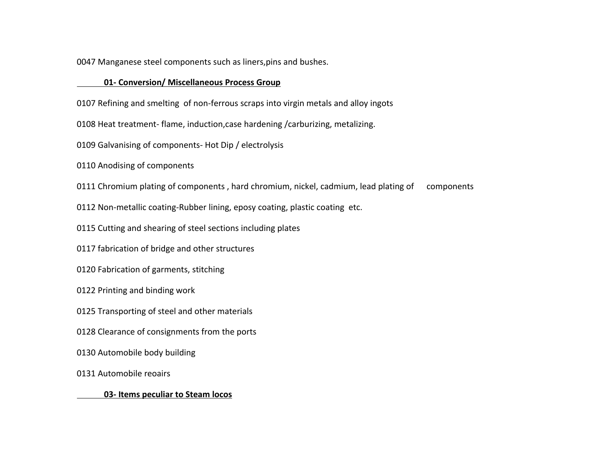Manganese steel components such as liners,pins and bushes.

#### **01- Conversion/ Miscellaneous Process Group**

Refining and smelting of non-ferrous scraps into virgin metals and alloy ingots

Heat treatment- flame, induction,case hardening /carburizing, metalizing.

Galvanising of components- Hot Dip / electrolysis

Anodising of components

Chromium plating of components , hard chromium, nickel, cadmium, lead plating of components

Non-metallic coating-Rubber lining, eposy coating, plastic coating etc.

Cutting and shearing of steel sections including plates

fabrication of bridge and other structures

Fabrication of garments, stitching

Printing and binding work

Transporting of steel and other materials

Clearance of consignments from the ports

Automobile body building

Automobile reoairs

 **03- Items peculiar to Steam locos**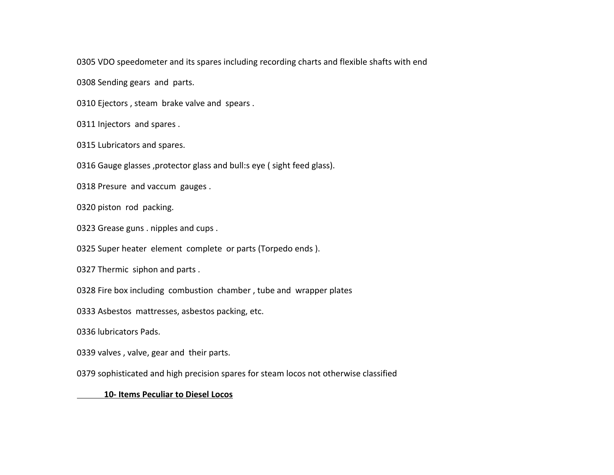VDO speedometer and its spares including recording charts and flexible shafts with end

Sending gears and parts.

Ejectors , steam brake valve and spears .

Injectors and spares .

Lubricators and spares.

Gauge glasses ,protector glass and bull:s eye ( sight feed glass).

Presure and vaccum gauges .

piston rod packing.

Grease guns . nipples and cups .

Super heater element complete or parts (Torpedo ends ).

Thermic siphon and parts .

Fire box including combustion chamber , tube and wrapper plates

Asbestos mattresses, asbestos packing, etc.

lubricators Pads.

0339 valves, valve, gear and their parts.

sophisticated and high precision spares for steam locos not otherwise classified

#### **10- Items Peculiar to Diesel Locos**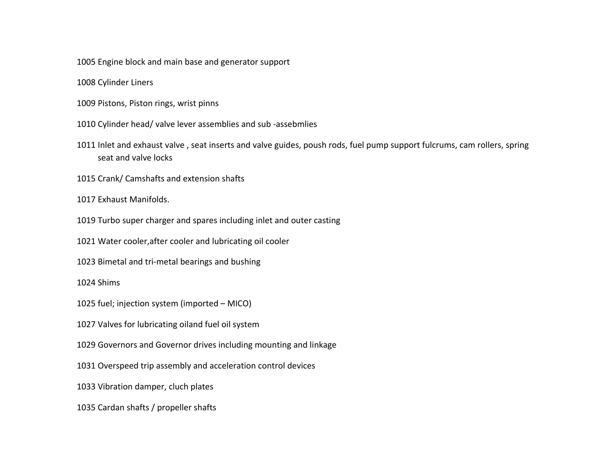Engine block and main base and generator support

Cylinder Liners

- Pistons, Piston rings, wrist pinns
- Cylinder head/ valve lever assemblies and sub -assebmlies
- Inlet and exhaust valve , seat inserts and valve guides, poush rods, fuel pump support fulcrums, cam rollers, spring seat and valve locks
- Crank/ Camshafts and extension shafts
- Exhaust Manifolds.
- Turbo super charger and spares including inlet and outer casting
- Water cooler,after cooler and lubricating oil cooler
- Bimetal and tri-metal bearings and bushing

## Shims

- fuel; injection system (imported MICO)
- Valves for lubricating oiland fuel oil system
- Governors and Governor drives including mounting and linkage
- Overspeed trip assembly and acceleration control devices
- Vibration damper, cluch plates
- Cardan shafts / propeller shafts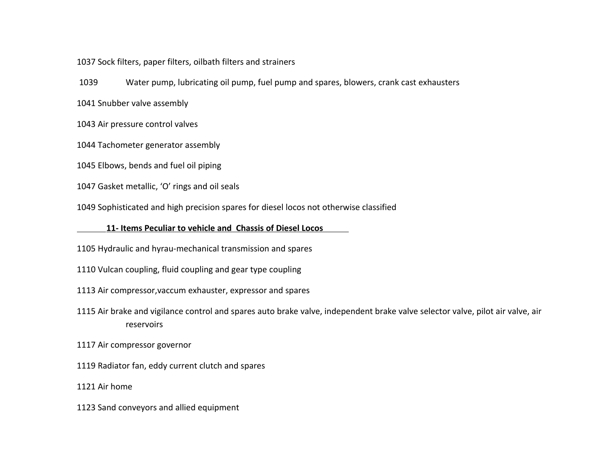Sock filters, paper filters, oilbath filters and strainers

Water pump, lubricating oil pump, fuel pump and spares, blowers, crank cast exhausters

Snubber valve assembly

Air pressure control valves

Tachometer generator assembly

Elbows, bends and fuel oil piping

Gasket metallic, 'O' rings and oil seals

Sophisticated and high precision spares for diesel locos not otherwise classified

#### **11- Items Peculiar to vehicle and Chassis of Diesel Locos**

Hydraulic and hyrau-mechanical transmission and spares

Vulcan coupling, fluid coupling and gear type coupling

Air compressor,vaccum exhauster, expressor and spares

 Air brake and vigilance control and spares auto brake valve, independent brake valve selector valve, pilot air valve, air reservoirs

Air compressor governor

Radiator fan, eddy current clutch and spares

Air home

Sand conveyors and allied equipment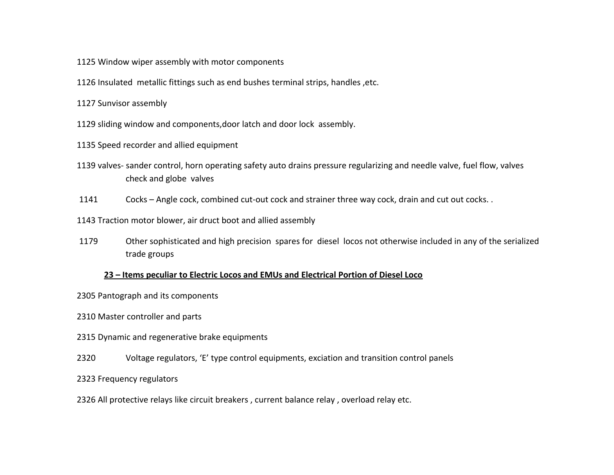- Window wiper assembly with motor components
- Insulated metallic fittings such as end bushes terminal strips, handles ,etc.
- Sunvisor assembly
- sliding window and components,door latch and door lock assembly.
- Speed recorder and allied equipment
- valves- sander control, horn operating safety auto drains pressure regularizing and needle valve, fuel flow, valves check and globe valves
- Cocks Angle cock, combined cut-out cock and strainer three way cock, drain and cut out cocks. .
- Traction motor blower, air druct boot and allied assembly
- Other sophisticated and high precision spares for diesel locos not otherwise included in any of the serialized trade groups

#### **23 – Items peculiar to Electric Locos and EMUs and Electrical Portion of Diesel Loco**

- Pantograph and its components
- Master controller and parts
- Dynamic and regenerative brake equipments
- Voltage regulators, 'E' type control equipments, exciation and transition control panels
- Frequency regulators
- All protective relays like circuit breakers , current balance relay , overload relay etc.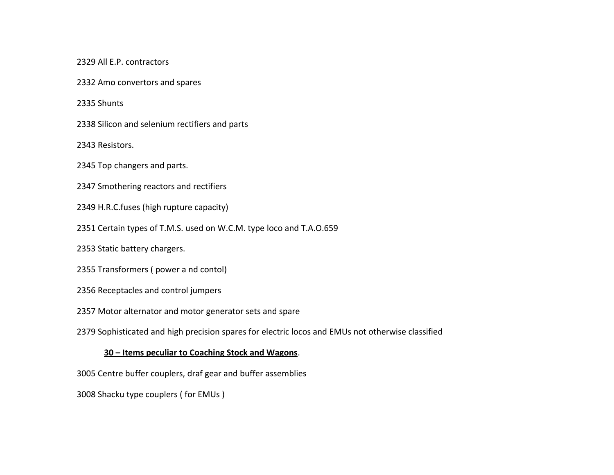All E.P. contractors

Amo convertors and spares

Shunts

Silicon and selenium rectifiers and parts

Resistors.

Top changers and parts.

Smothering reactors and rectifiers

H.R.C.fuses (high rupture capacity)

Certain types of T.M.S. used on W.C.M. type loco and T.A.O.659

Static battery chargers.

Transformers ( power a nd contol)

Receptacles and control jumpers

Motor alternator and motor generator sets and spare

Sophisticated and high precision spares for electric locos and EMUs not otherwise classified

## **30 – Items peculiar to Coaching Stock and Wagons**.

Centre buffer couplers, draf gear and buffer assemblies

Shacku type couplers ( for EMUs )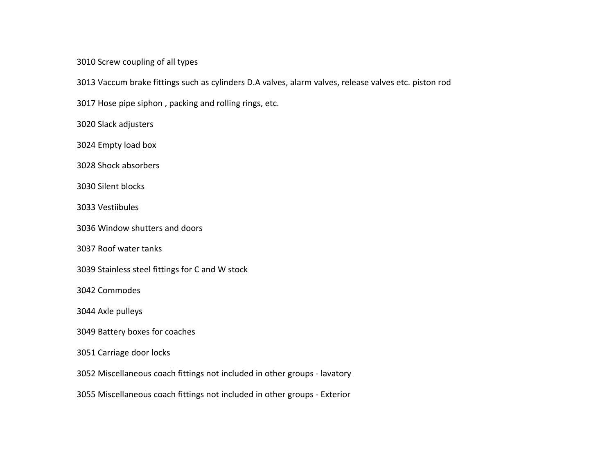Screw coupling of all types

Vaccum brake fittings such as cylinders D.A valves, alarm valves, release valves etc. piston rod

Hose pipe siphon , packing and rolling rings, etc.

Slack adjusters

Empty load box

Shock absorbers

Silent blocks

Vestiibules

Window shutters and doors

Roof water tanks

Stainless steel fittings for C and W stock

Commodes

Axle pulleys

Battery boxes for coaches

Carriage door locks

Miscellaneous coach fittings not included in other groups - lavatory

Miscellaneous coach fittings not included in other groups - Exterior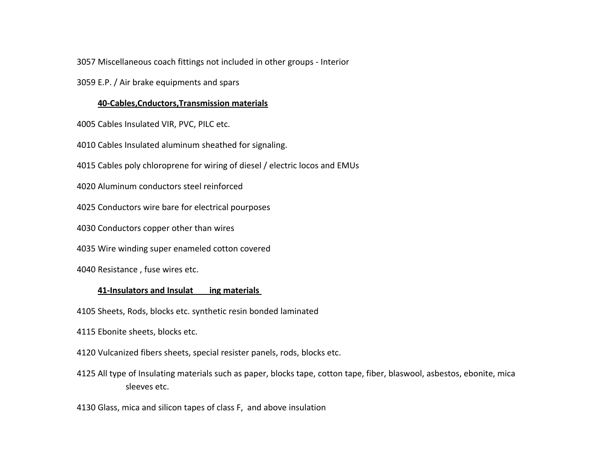Miscellaneous coach fittings not included in other groups - Interior

E.P. / Air brake equipments and spars

#### **40-Cables,Cnductors,Transmission materials**

Cables Insulated VIR, PVC, PILC etc.

Cables Insulated aluminum sheathed for signaling.

Cables poly chloroprene for wiring of diesel / electric locos and EMUs

Aluminum conductors steel reinforced

Conductors wire bare for electrical pourposes

Conductors copper other than wires

Wire winding super enameled cotton covered

Resistance , fuse wires etc.

#### **41-Insulators and Insulat ing materials**

Sheets, Rods, blocks etc. synthetic resin bonded laminated

Ebonite sheets, blocks etc.

Vulcanized fibers sheets, special resister panels, rods, blocks etc.

 All type of Insulating materials such as paper, blocks tape, cotton tape, fiber, blaswool, asbestos, ebonite, mica sleeves etc.

Glass, mica and silicon tapes of class F, and above insulation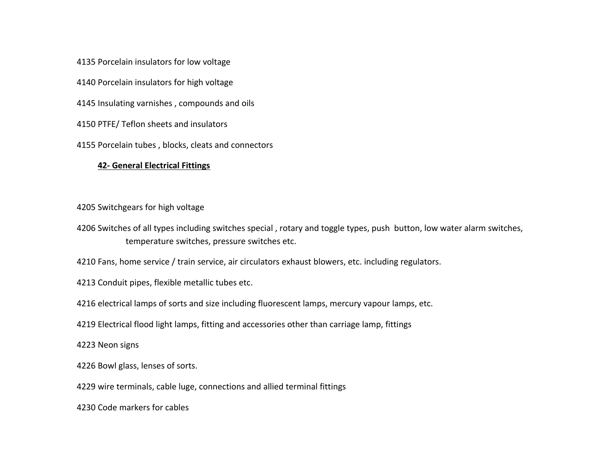Porcelain insulators for low voltage

Porcelain insulators for high voltage

Insulating varnishes , compounds and oils

PTFE/ Teflon sheets and insulators

Porcelain tubes , blocks, cleats and connectors

## **42- General Electrical Fittings**

## Switchgears for high voltage

 Switches of all types including switches special , rotary and toggle types, push button, low water alarm switches, temperature switches, pressure switches etc.

Fans, home service / train service, air circulators exhaust blowers, etc. including regulators.

Conduit pipes, flexible metallic tubes etc.

electrical lamps of sorts and size including fluorescent lamps, mercury vapour lamps, etc.

Electrical flood light lamps, fitting and accessories other than carriage lamp, fittings

Neon signs

Bowl glass, lenses of sorts.

wire terminals, cable luge, connections and allied terminal fittings

Code markers for cables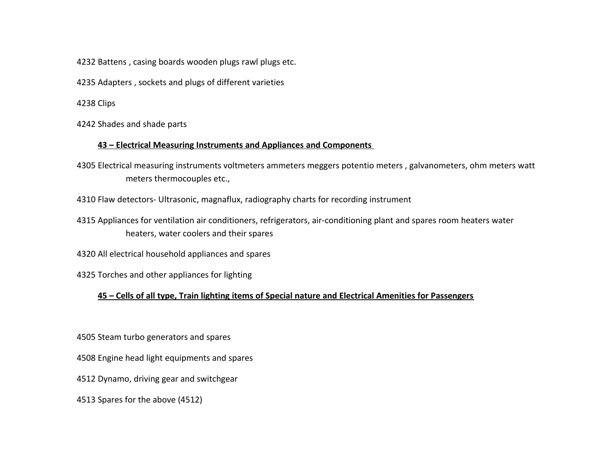Battens , casing boards wooden plugs rawl plugs etc.

Adapters , sockets and plugs of different varieties

Clips

Shades and shade parts

## **43 – Electrical Measuring Instruments and Appliances and Components**

 Electrical measuring instruments voltmeters ammeters meggers potentio meters , galvanometers, ohm meters watt meters thermocouples etc.,

Flaw detectors- Ultrasonic, magnaflux, radiography charts for recording instrument

 Appliances for ventilation air conditioners, refrigerators, air-conditioning plant and spares room heaters water heaters, water coolers and their spares

All electrical household appliances and spares

Torches and other appliances for lighting

# **45 – Cells of all type, Train lighting items of Special nature and Electrical Amenities for Passengers**

Steam turbo generators and spares

Engine head light equipments and spares

Dynamo, driving gear and switchgear

Spares for the above (4512)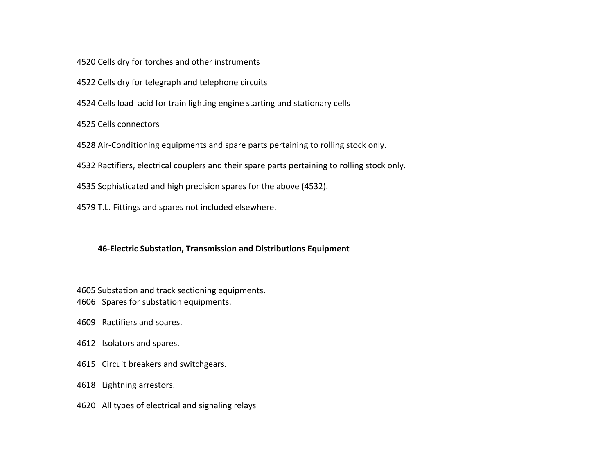4520 Cells dry for torches and other instruments

4522 Cells dry for telegraph and telephone circuits

4524 Cells load acid for train lighting engine starting and stationary cells

4525 Cells connectors

4528 Air-Conditioning equipments and spare parts pertaining to rolling stock only.

4532 Ractifiers, electrical couplers and their spare parts pertaining to rolling stock only.

4535 Sophisticated and high precision spares for the above (4532).

4579 T.L. Fittings and spares not included elsewhere.

## **46-Electric Substation, Transmission and Distributions Equipment**

4605 Substation and track sectioning equipments.

- 4606 Spares for substation equipments.
- 4609 Ractifiers and soares.
- 4612 Isolators and spares.
- 4615 Circuit breakers and switchgears.
- 4618 Lightning arrestors.
- 4620 All types of electrical and signaling relays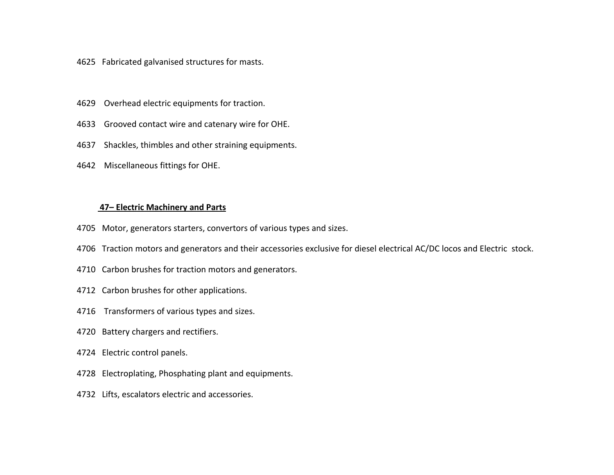- 4625 Fabricated galvanised structures for masts.
- 4629 Overhead electric equipments for traction.
- 4633 Grooved contact wire and catenary wire for OHE.
- 4637 Shackles, thimbles and other straining equipments.
- 4642 Miscellaneous fittings for OHE.

#### **47– Electric Machinery and Parts**

- 4705 Motor, generators starters, convertors of various types and sizes.
- 4706 Traction motors and generators and their accessories exclusive for diesel electrical AC/DC locos and Electric stock.
- 4710 Carbon brushes for traction motors and generators.
- 4712 Carbon brushes for other applications.
- 4716 Transformers of various types and sizes.
- 4720 Battery chargers and rectifiers.
- 4724 Electric control panels.
- 4728 Electroplating, Phosphating plant and equipments.
- 4732 Lifts, escalators electric and accessories.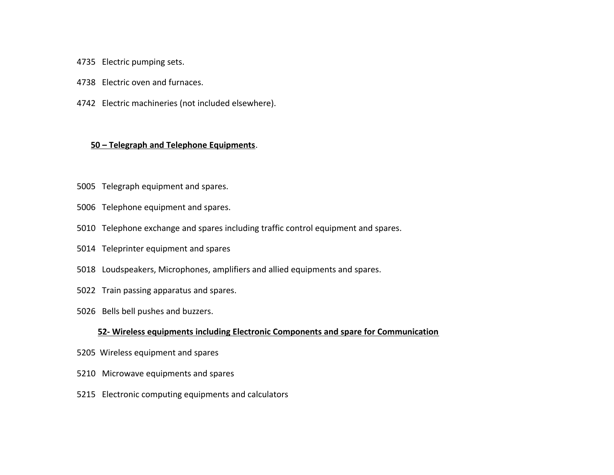- 4735 Electric pumping sets.
- 4738 Electric oven and furnaces.
- 4742 Electric machineries (not included elsewhere).

## **50 – Telegraph and Telephone Equipments**.

- 5005 Telegraph equipment and spares.
- 5006 Telephone equipment and spares.
- 5010 Telephone exchange and spares including traffic control equipment and spares.
- 5014 Teleprinter equipment and spares
- 5018 Loudspeakers, Microphones, amplifiers and allied equipments and spares.
- 5022 Train passing apparatus and spares.
- 5026 Bells bell pushes and buzzers.

#### **52- Wireless equipments including Electronic Components and spare for Communication**

- 5205 Wireless equipment and spares
- 5210 Microwave equipments and spares
- 5215 Electronic computing equipments and calculators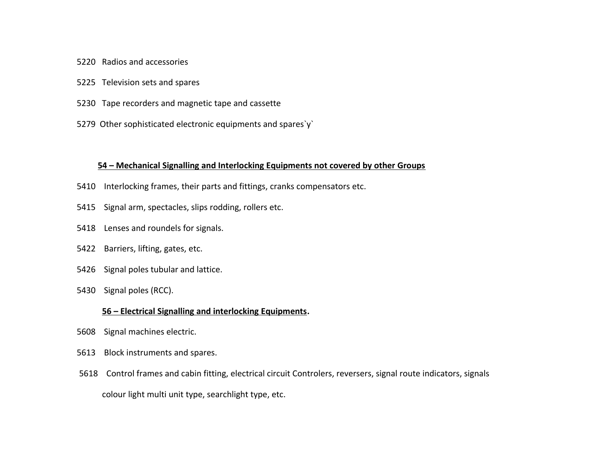- 5220 Radios and accessories
- 5225 Television sets and spares
- 5230 Tape recorders and magnetic tape and cassette
- 5279 Other sophisticated electronic equipments and spares`y`

#### **54 – Mechanical Signalling and Interlocking Equipments not covered by other Groups**

- 5410 Interlocking frames, their parts and fittings, cranks compensators etc.
- 5415 Signal arm, spectacles, slips rodding, rollers etc.
- 5418 Lenses and roundels for signals.
- 5422 Barriers, lifting, gates, etc.
- 5426 Signal poles tubular and lattice.
- 5430 Signal poles (RCC).

#### **56 – Electrical Signalling and interlocking Equipments.**

- 5608 Signal machines electric.
- 5613 Block instruments and spares.
- 5618 Control frames and cabin fitting, electrical circuit Controlers, reversers, signal route indicators, signals colour light multi unit type, searchlight type, etc.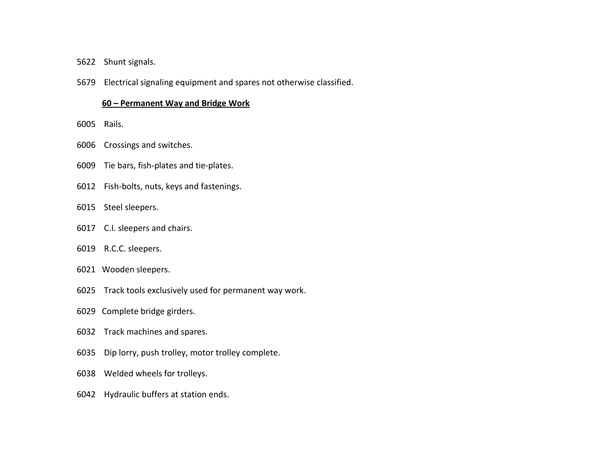- 5622 Shunt signals.
- 5679 Electrical signaling equipment and spares not otherwise classified.

#### **60 – Permanent Way and Bridge Work**

- 6005 Rails.
- 6006 Crossings and switches.
- 6009 Tie bars, fish-plates and tie-plates.
- 6012 Fish-bolts, nuts, keys and fastenings.
- 6015 Steel sleepers.
- 6017 C.I. sleepers and chairs.
- 6019 R.C.C. sleepers.
- 6021 Wooden sleepers.
- 6025 Track tools exclusively used for permanent way work.
- 6029 Complete bridge girders.
- 6032 Track machines and spares.
- 6035 Dip lorry, push trolley, motor trolley complete.
- 6038 Welded wheels for trolleys.
- 6042 Hydraulic buffers at station ends.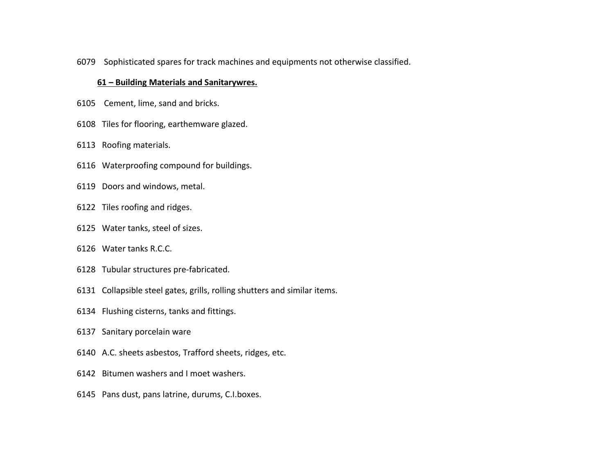6079 Sophisticated spares for track machines and equipments not otherwise classified.

### **61 – Building Materials and Sanitarywres.**

- 6105 Cement, lime, sand and bricks.
- 6108 Tiles for flooring, earthemware glazed.
- 6113 Roofing materials.
- 6116 Waterproofing compound for buildings.
- 6119 Doors and windows, metal.
- 6122 Tiles roofing and ridges.
- 6125 Water tanks, steel of sizes.
- 6126 Water tanks R.C.C.
- 6128 Tubular structures pre-fabricated.
- 6131 Collapsible steel gates, grills, rolling shutters and similar items.
- 6134 Flushing cisterns, tanks and fittings.
- 6137 Sanitary porcelain ware
- 6140 A.C. sheets asbestos, Trafford sheets, ridges, etc.
- 6142 Bitumen washers and I moet washers.
- 6145 Pans dust, pans latrine, durums, C.I.boxes.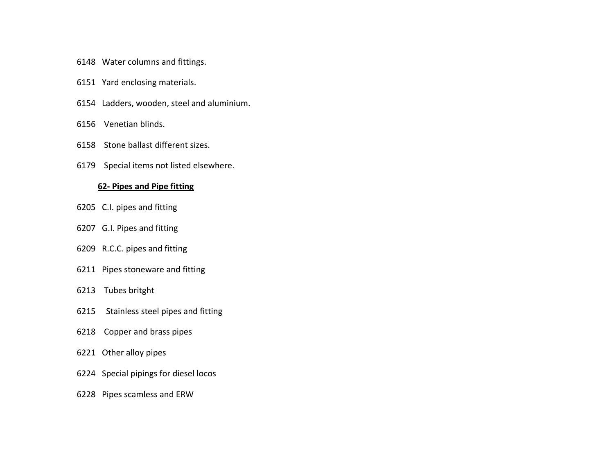- 6148 Water columns and fittings.
- 6151 Yard enclosing materials.
- 6154 Ladders, wooden, steel and aluminium.
- 6156 Venetian blinds.
- 6158 Stone ballast different sizes.
- 6179 Special items not listed elsewhere.

#### **62- Pipes and Pipe fitting**

- 6205 C.I. pipes and fitting
- 6207 G.I. Pipes and fitting
- 6209 R.C.C. pipes and fitting
- 6211 Pipes stoneware and fitting
- 6213 Tubes britght
- 6215 Stainless steel pipes and fitting
- 6218 Copper and brass pipes
- 6221 Other alloy pipes
- 6224 Special pipings for diesel locos
- 6228 Pipes scamless and ERW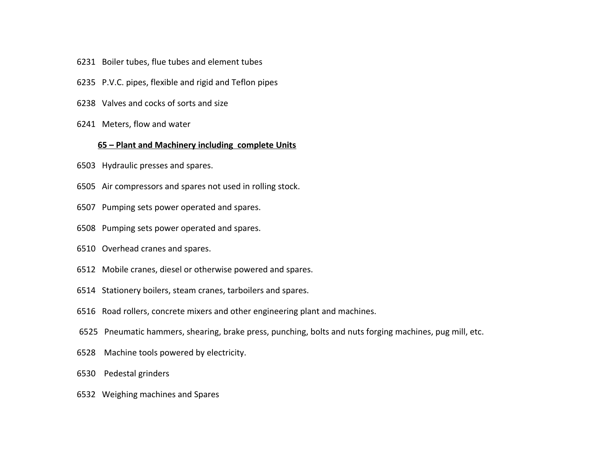- 6231 Boiler tubes, flue tubes and element tubes
- 6235 P.V.C. pipes, flexible and rigid and Teflon pipes
- 6238 Valves and cocks of sorts and size
- 6241 Meters, flow and water

#### **65 – Plant and Machinery including complete Units**

- 6503 Hydraulic presses and spares.
- 6505 Air compressors and spares not used in rolling stock.
- 6507 Pumping sets power operated and spares.
- 6508 Pumping sets power operated and spares.
- 6510 Overhead cranes and spares.
- 6512 Mobile cranes, diesel or otherwise powered and spares.
- 6514 Stationery boilers, steam cranes, tarboilers and spares.
- 6516 Road rollers, concrete mixers and other engineering plant and machines.
- 6525 Pneumatic hammers, shearing, brake press, punching, bolts and nuts forging machines, pug mill, etc.
- 6528 Machine tools powered by electricity.
- 6530 Pedestal grinders
- 6532 Weighing machines and Spares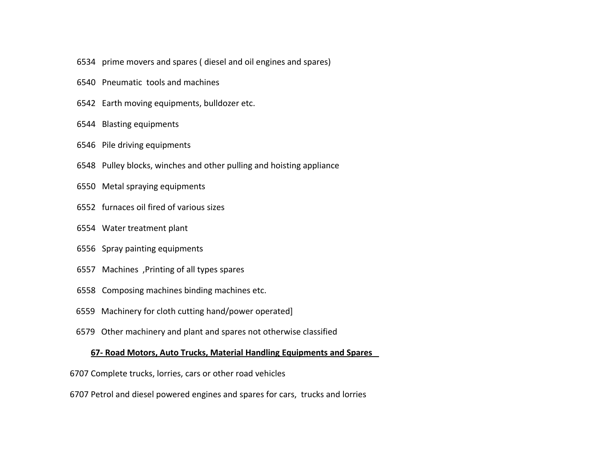- 6534 prime movers and spares ( diesel and oil engines and spares)
- 6540 Pneumatic tools and machines
- 6542 Earth moving equipments, bulldozer etc.
- 6544 Blasting equipments
- 6546 Pile driving equipments
- 6548 Pulley blocks, winches and other pulling and hoisting appliance
- 6550 Metal spraying equipments
- 6552 furnaces oil fired of various sizes
- 6554 Water treatment plant
- 6556 Spray painting equipments
- 6557 Machines ,Printing of all types spares
- 6558 Composing machines binding machines etc.
- 6559 Machinery for cloth cutting hand/power operated]
- 6579 Other machinery and plant and spares not otherwise classified

## **67- Road Motors, Auto Trucks, Material Handling Equipments and Spares**

- 6707 Complete trucks, lorries, cars or other road vehicles
- 6707 Petrol and diesel powered engines and spares for cars, trucks and lorries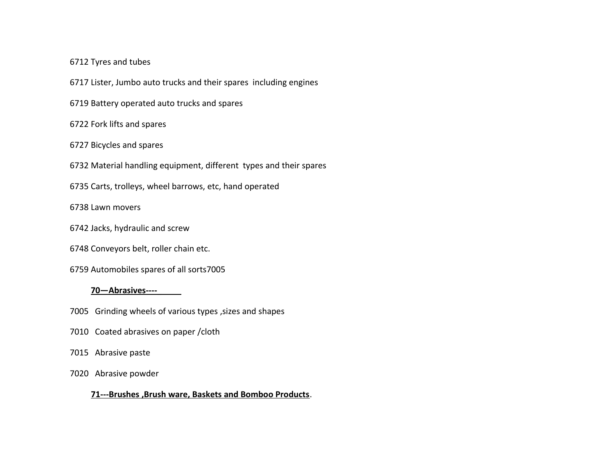#### Tyres and tubes

Lister, Jumbo auto trucks and their spares including engines

Battery operated auto trucks and spares

#### Fork lifts and spares

#### Bicycles and spares

- Material handling equipment, different types and their spares
- Carts, trolleys, wheel barrows, etc, hand operated

### Lawn movers

- Jacks, hydraulic and screw
- Conveyors belt, roller chain etc.
- Automobiles spares of all sorts7005

#### **70—Abrasives----\_**

- 7005 Grinding wheels of various types, sizes and shapes
- 7010 Coated abrasives on paper /cloth
- 7015 Abrasive paste
- 7020 Abrasive powder

#### **71---Brushes ,Brush ware, Baskets and Bomboo Products**.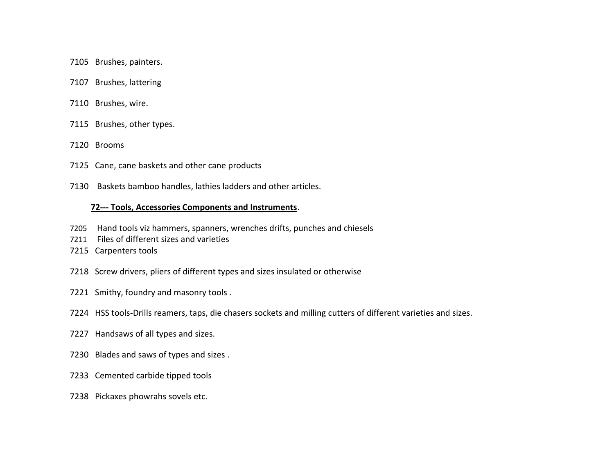7105 Brushes, painters.

- 7107 Brushes, lattering
- 7110 Brushes, wire.
- 7115 Brushes, other types.
- 7120 Brooms
- 7125 Cane, cane baskets and other cane products
- 7130 Baskets bamboo handles, lathies ladders and other articles.

#### **72--- Tools, Accessories Components and Instruments**.

- 7205 Hand tools viz hammers, spanners, wrenches drifts, punches and chiesels
- 7211 Files of different sizes and varieties
- 7215 Carpenters tools
- 7218 Screw drivers, pliers of different types and sizes insulated or otherwise
- 7221 Smithy, foundry and masonry tools .
- 7224 HSS tools-Drills reamers, taps, die chasers sockets and milling cutters of different varieties and sizes.
- 7227 Handsaws of all types and sizes.
- 7230 Blades and saws of types and sizes .
- 7233 Cemented carbide tipped tools
- 7238 Pickaxes phowrahs sovels etc.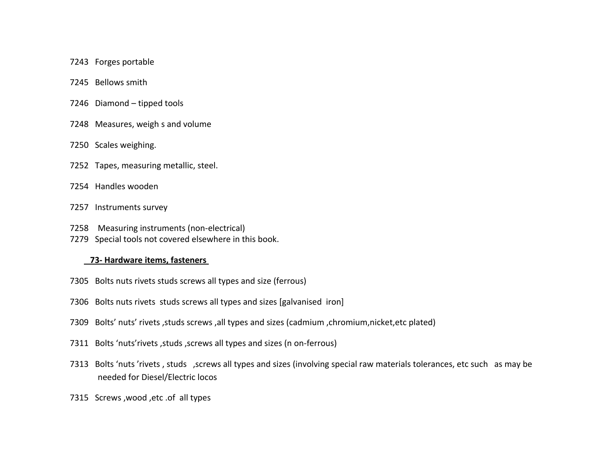- 7243 Forges portable
- 7245 Bellows smith
- 7246 Diamond tipped tools
- 7248 Measures, weigh s and volume
- 7250 Scales weighing.
- 7252 Tapes, measuring metallic, steel.
- 7254 Handles wooden
- 7257 Instruments survey
- 7258 Measuring instruments (non-electrical)
- 7279 Special tools not covered elsewhere in this book.

## **73- Hardware items, fasteners**

- 7305 Bolts nuts rivets studs screws all types and size (ferrous)
- 7306 Bolts nuts rivets studs screws all types and sizes [galvanised iron]
- 7309 Bolts' nuts' rivets ,studs screws ,all types and sizes (cadmium ,chromium,nicket,etc plated)
- 7311 Bolts 'nuts'rivets ,studs ,screws all types and sizes (n on-ferrous)
- 7313 Bolts 'nuts 'rivets , studs ,screws all types and sizes (involving special raw materials tolerances, etc such as may be needed for Diesel/Electric locos
- 7315 Screws ,wood ,etc .of all types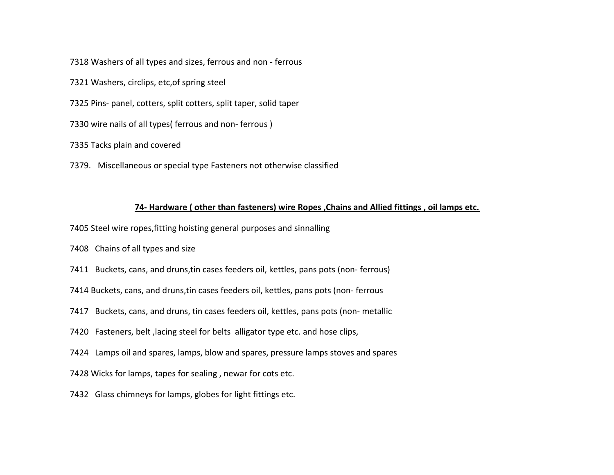7318 Washers of all types and sizes, ferrous and non - ferrous

7321 Washers, circlips, etc,of spring steel

7325 Pins- panel, cotters, split cotters, split taper, solid taper

7330 wire nails of all types( ferrous and non- ferrous )

7335 Tacks plain and covered

7379. Miscellaneous or special type Fasteners not otherwise classified

### **74- Hardware ( other than fasteners) wire Ropes ,Chains and Allied fittings , oil lamps etc.**

7405 Steel wire ropes,fitting hoisting general purposes and sinnalling

7408 Chains of all types and size

7411 Buckets, cans, and druns,tin cases feeders oil, kettles, pans pots (non- ferrous)

7414 Buckets, cans, and druns,tin cases feeders oil, kettles, pans pots (non- ferrous

7417 Buckets, cans, and druns, tin cases feeders oil, kettles, pans pots (non- metallic

7420 Fasteners, belt, lacing steel for belts alligator type etc. and hose clips,

7424 Lamps oil and spares, lamps, blow and spares, pressure lamps stoves and spares

7428 Wicks for lamps, tapes for sealing , newar for cots etc.

7432 Glass chimneys for lamps, globes for light fittings etc.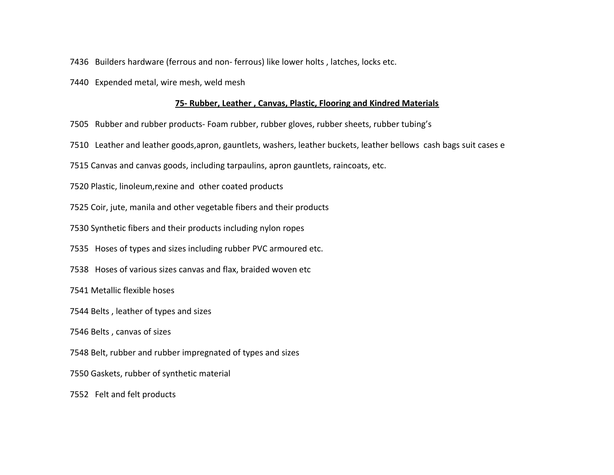- 7436 Builders hardware (ferrous and non- ferrous) like lower holts , latches, locks etc.
- 7440 Expended metal, wire mesh, weld mesh

#### **75- Rubber, Leather , Canvas, Plastic, Flooring and Kindred Materials**

- 7505 Rubber and rubber products- Foam rubber, rubber gloves, rubber sheets, rubber tubing's
- 7510 Leather and leather goods,apron, gauntlets, washers, leather buckets, leather bellows cash bags suit cases e
- 7515 Canvas and canvas goods, including tarpaulins, apron gauntlets, raincoats, etc.
- 7520 Plastic, linoleum,rexine and other coated products
- 7525 Coir, jute, manila and other vegetable fibers and their products
- 7530 Synthetic fibers and their products including nylon ropes
- 7535 Hoses of types and sizes including rubber PVC armoured etc.
- 7538 Hoses of various sizes canvas and flax, braided woven etc
- 7541 Metallic flexible hoses
- 7544 Belts , leather of types and sizes
- 7546 Belts , canvas of sizes
- 7548 Belt, rubber and rubber impregnated of types and sizes
- 7550 Gaskets, rubber of synthetic material
- 7552 Felt and felt products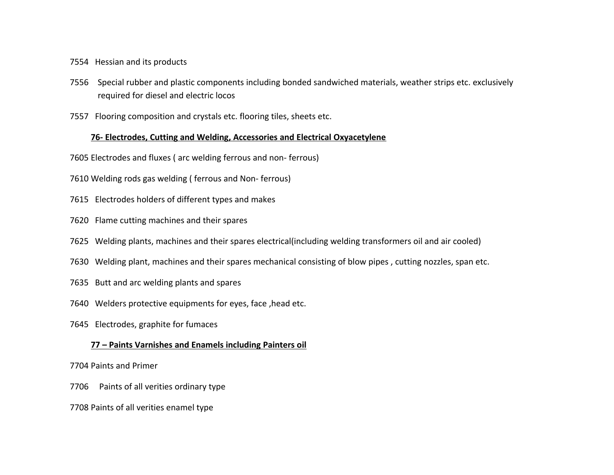7554 Hessian and its products

- 7556 Special rubber and plastic components including bonded sandwiched materials, weather strips etc. exclusively required for diesel and electric locos
- 7557 Flooring composition and crystals etc. flooring tiles, sheets etc.

## **76- Electrodes, Cutting and Welding, Accessories and Electrical Oxyacetylene**

- 7605 Electrodes and fluxes ( arc welding ferrous and non- ferrous)
- 7610 Welding rods gas welding ( ferrous and Non- ferrous)
- 7615 Electrodes holders of different types and makes
- 7620 Flame cutting machines and their spares
- 7625 Welding plants, machines and their spares electrical(including welding transformers oil and air cooled)
- 7630 Welding plant, machines and their spares mechanical consisting of blow pipes , cutting nozzles, span etc.
- 7635 Butt and arc welding plants and spares
- 7640 Welders protective equipments for eyes, face ,head etc.
- 7645 Electrodes, graphite for fumaces

## **77 – Paints Varnishes and Enamels including Painters oil**

7704 Paints and Primer

- 7706 Paints of all verities ordinary type
- 7708 Paints of all verities enamel type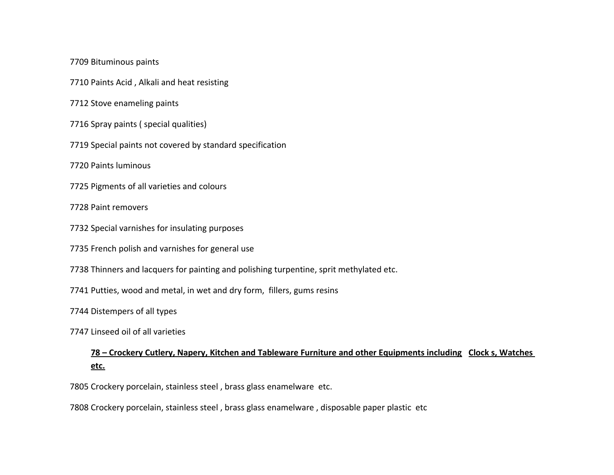Bituminous paints

Paints Acid , Alkali and heat resisting

Stove enameling paints

Spray paints ( special qualities)

Special paints not covered by standard specification

Paints luminous

Pigments of all varieties and colours

Paint removers

Special varnishes for insulating purposes

French polish and varnishes for general use

Thinners and lacquers for painting and polishing turpentine, sprit methylated etc.

Putties, wood and metal, in wet and dry form, fillers, gums resins

Distempers of all types

Linseed oil of all varieties

# **78 – Crockery Cutlery, Napery, Kitchen and Tableware Furniture and other Equipments including Clock s, Watches etc.**

Crockery porcelain, stainless steel , brass glass enamelware etc.

Crockery porcelain, stainless steel , brass glass enamelware , disposable paper plastic etc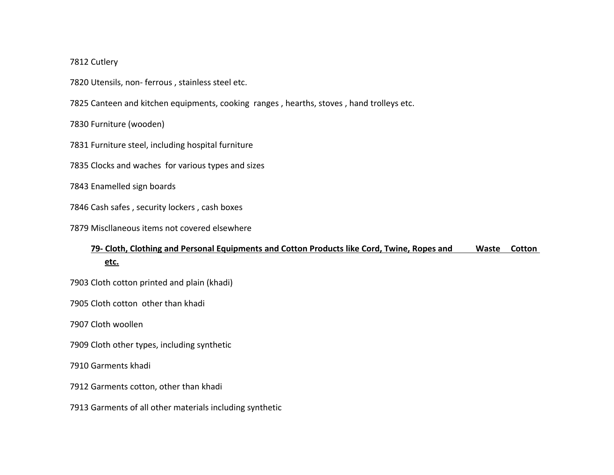## Cutlery

Utensils, non- ferrous , stainless steel etc.

Canteen and kitchen equipments, cooking ranges , hearths, stoves , hand trolleys etc.

Furniture (wooden)

Furniture steel, including hospital furniture

Clocks and waches for various types and sizes

Enamelled sign boards

Cash safes , security lockers , cash boxes

Miscllaneous items not covered elsewhere

# **79- Cloth, Clothing and Personal Equipments and Cotton Products like Cord, Twine, Ropes and Waste Cotton etc.**

Cloth cotton printed and plain (khadi)

Cloth cotton other than khadi

Cloth woollen

Cloth other types, including synthetic

Garments khadi

Garments cotton, other than khadi

Garments of all other materials including synthetic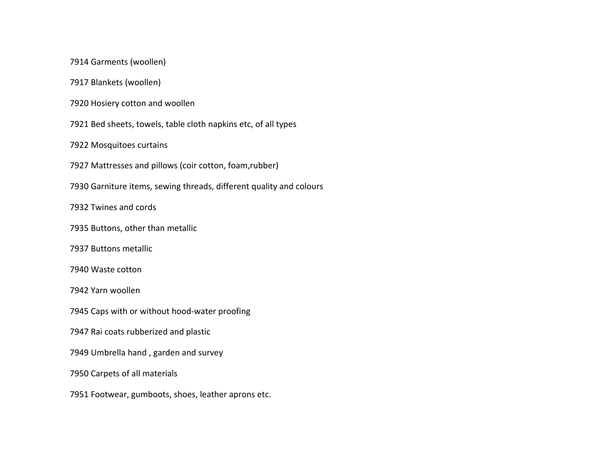Garments (woollen)

Blankets (woollen)

Hosiery cotton and woollen

Bed sheets, towels, table cloth napkins etc, of all types

Mosquitoes curtains

Mattresses and pillows (coir cotton, foam,rubber)

Garniture items, sewing threads, different quality and colours

Twines and cords

Buttons, other than metallic

Buttons metallic

Waste cotton

Yarn woollen

Caps with or without hood-water proofing

Rai coats rubberized and plastic

Umbrella hand , garden and survey

Carpets of all materials

Footwear, gumboots, shoes, leather aprons etc.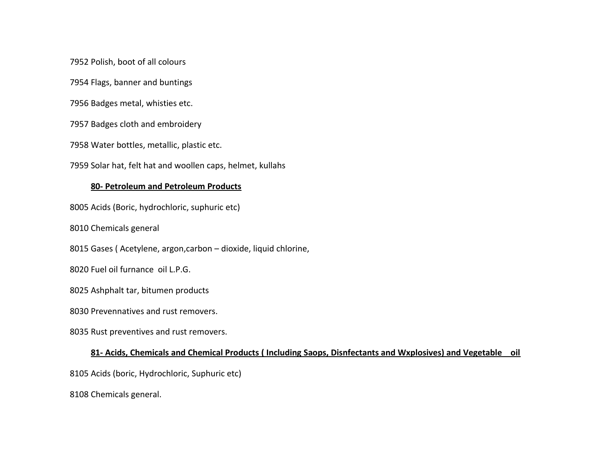Polish, boot of all colours

Flags, banner and buntings

Badges metal, whisties etc.

Badges cloth and embroidery

Water bottles, metallic, plastic etc.

Solar hat, felt hat and woollen caps, helmet, kullahs

#### **80- Petroleum and Petroleum Products**

Acids (Boric, hydrochloric, suphuric etc)

Chemicals general

Gases ( Acetylene, argon,carbon – dioxide, liquid chlorine,

Fuel oil furnance oil L.P.G.

Ashphalt tar, bitumen products

Prevennatives and rust removers.

Rust preventives and rust removers.

## **81- Acids, Chemicals and Chemical Products ( Including Saops, Disnfectants and Wxplosives) and Vegetable oil**

Acids (boric, Hydrochloric, Suphuric etc)

Chemicals general.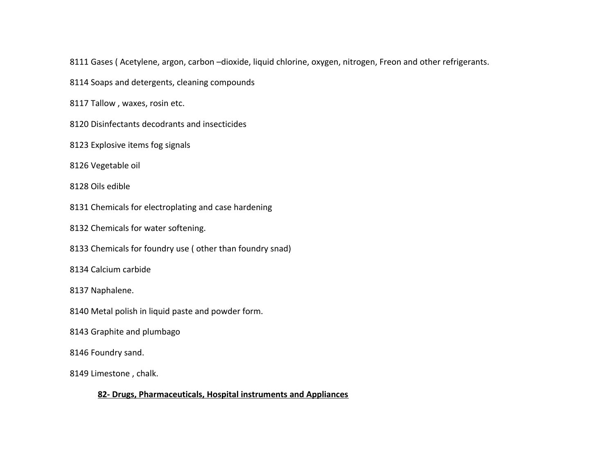Gases ( Acetylene, argon, carbon –dioxide, liquid chlorine, oxygen, nitrogen, Freon and other refrigerants.

Soaps and detergents, cleaning compounds

Tallow , waxes, rosin etc.

Disinfectants decodrants and insecticides

Explosive items fog signals

Vegetable oil

Oils edible

Chemicals for electroplating and case hardening

Chemicals for water softening.

Chemicals for foundry use ( other than foundry snad)

Calcium carbide

Naphalene.

Metal polish in liquid paste and powder form.

Graphite and plumbago

Foundry sand.

Limestone , chalk.

## **82- Drugs, Pharmaceuticals, Hospital instruments and Appliances**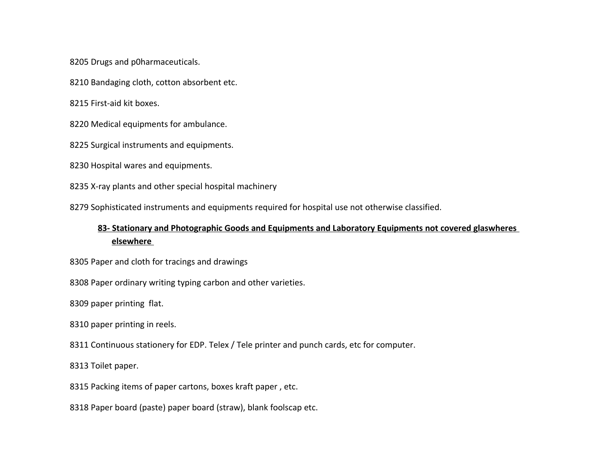Drugs and p0harmaceuticals.

Bandaging cloth, cotton absorbent etc.

First-aid kit boxes.

Medical equipments for ambulance.

Surgical instruments and equipments.

Hospital wares and equipments.

X-ray plants and other special hospital machinery

Sophisticated instruments and equipments required for hospital use not otherwise classified.

# **83- Stationary and Photographic Goods and Equipments and Laboratory Equipments not covered glaswheres elsewhere**

Paper and cloth for tracings and drawings

Paper ordinary writing typing carbon and other varieties.

paper printing flat.

paper printing in reels.

8311 Continuous stationery for EDP. Telex / Tele printer and punch cards, etc for computer.

Toilet paper.

Packing items of paper cartons, boxes kraft paper , etc.

Paper board (paste) paper board (straw), blank foolscap etc.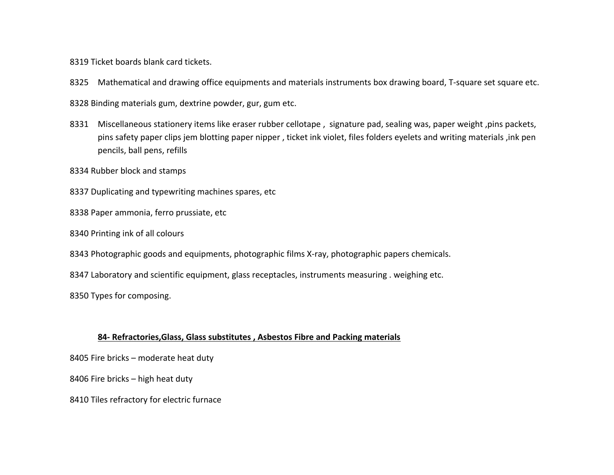Ticket boards blank card tickets.

Mathematical and drawing office equipments and materials instruments box drawing board, T-square set square etc.

Binding materials gum, dextrine powder, gur, gum etc.

 Miscellaneous stationery items like eraser rubber cellotape , signature pad, sealing was, paper weight ,pins packets, pins safety paper clips jem blotting paper nipper , ticket ink violet, files folders eyelets and writing materials ,ink pen pencils, ball pens, refills

Rubber block and stamps

Duplicating and typewriting machines spares, etc

Paper ammonia, ferro prussiate, etc

Printing ink of all colours

Photographic goods and equipments, photographic films X-ray, photographic papers chemicals.

8347 Laboratory and scientific equipment, glass receptacles, instruments measuring . weighing etc.

Types for composing.

#### **84- Refractories,Glass, Glass substitutes , Asbestos Fibre and Packing materials**

Fire bricks – moderate heat duty

Fire bricks – high heat duty

Tiles refractory for electric furnace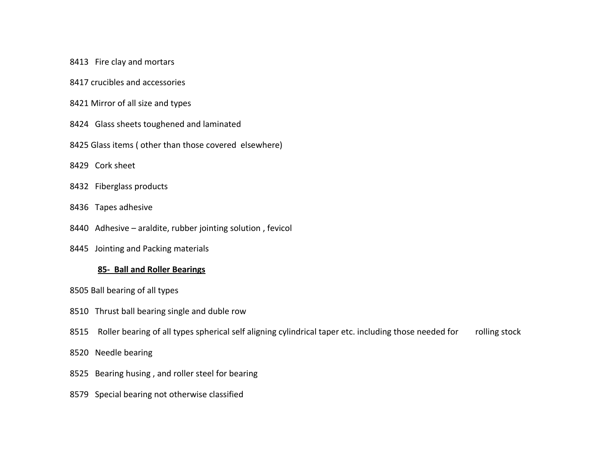- 8413 Fire clay and mortars
- 8417 crucibles and accessories
- 8421 Mirror of all size and types
- 8424 Glass sheets toughened and laminated
- 8425 Glass items ( other than those covered elsewhere)
- 8429 Cork sheet
- 8432 Fiberglass products
- 8436 Tapes adhesive
- 8440 Adhesive araldite, rubber jointing solution , fevicol
- 8445 Jointing and Packing materials

## **85- Ball and Roller Bearings**

- 8505 Ball bearing of all types
- 8510 Thrust ball bearing single and duble row
- 8515 Roller bearing of all types spherical self aligning cylindrical taper etc. including those needed for rolling stock
- 8520 Needle bearing
- 8525 Bearing husing , and roller steel for bearing
- 8579 Special bearing not otherwise classified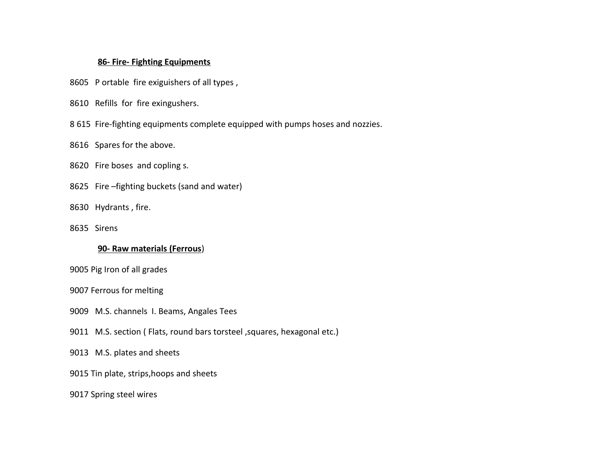#### **86- Fire- Fighting Equipments**

- 8605 P ortable fire exiguishers of all types ,
- 8610 Refills for fire exingushers.
- 8 615 Fire-fighting equipments complete equipped with pumps hoses and nozzies.

#### 8616 Spares for the above.

## 8620 Fire boses and copling s.

- 8625 Fire –fighting buckets (sand and water)
- 8630 Hydrants , fire.
- 8635 Sirens

#### **90- Raw materials (Ferrous**)

- 9005 Pig Iron of all grades
- 9007 Ferrous for melting
- 9009 M.S. channels I. Beams, Angales Tees
- 9011 M.S. section ( Flats, round bars torsteel , squares, hexagonal etc.)
- 9013 M.S. plates and sheets
- 9015 Tin plate, strips,hoops and sheets
- 9017 Spring steel wires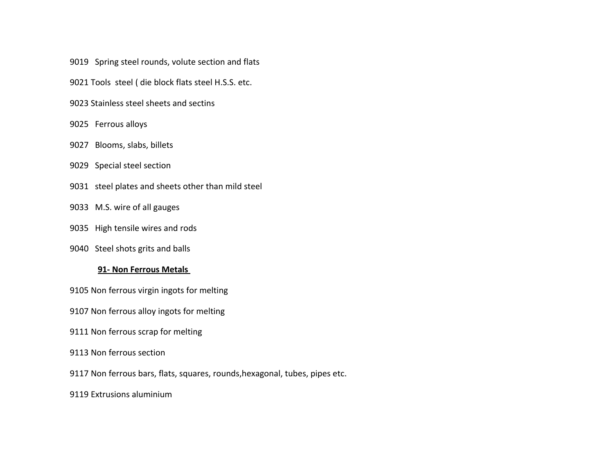- 9019 Spring steel rounds, volute section and flats
- 9021 Tools steel ( die block flats steel H.S.S. etc.
- 9023 Stainless steel sheets and sectins
- 9025 Ferrous alloys
- 9027 Blooms, slabs, billets
- 9029 Special steel section
- 9031 steel plates and sheets other than mild steel
- 9033 M.S. wire of all gauges
- 9035 High tensile wires and rods
- 9040 Steel shots grits and balls

## **91- Non Ferrous Metals**

9105 Non ferrous virgin ingots for melting

- 9107 Non ferrous alloy ingots for melting
- 9111 Non ferrous scrap for melting
- 9113 Non ferrous section
- 9117 Non ferrous bars, flats, squares, rounds,hexagonal, tubes, pipes etc.
- 9119 Extrusions aluminium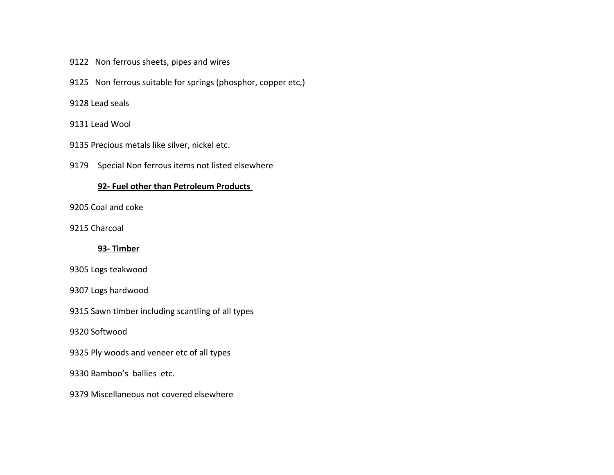- 9122 Non ferrous sheets, pipes and wires
- 9125 Non ferrous suitable for springs (phosphor, copper etc,)

#### Lead seals

Lead Wool

Precious metals like silver, nickel etc.

9179 Special Non ferrous items not listed elsewhere

## **92- Fuel other than Petroleum Products**

Coal and coke

Charcoal

## **93- Timber**

Logs teakwood

Logs hardwood

Sawn timber including scantling of all types

Softwood

Ply woods and veneer etc of all types

Bamboo's ballies etc.

Miscellaneous not covered elsewhere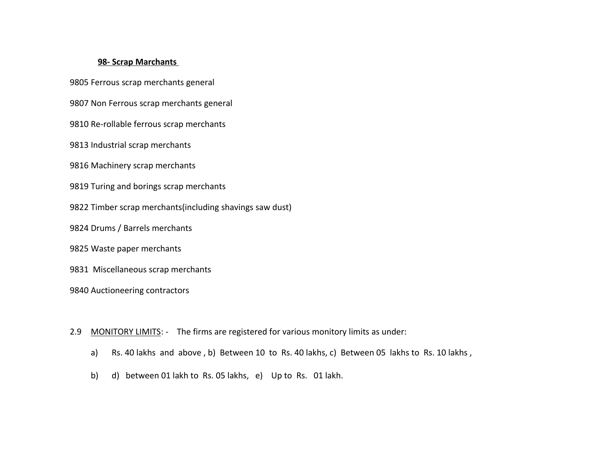#### **98- Scrap Marchants**

Ferrous scrap merchants general

Non Ferrous scrap merchants general

Re-rollable ferrous scrap merchants

Industrial scrap merchants

Machinery scrap merchants

Turing and borings scrap merchants

Timber scrap merchants(including shavings saw dust)

Drums / Barrels merchants

Waste paper merchants

9831 Miscellaneous scrap merchants

Auctioneering contractors

2.9 MONITORY LIMITS: - The firms are registered for various monitory limits as under:

- a) Rs. 40 lakhs and above , b) Between 10 to Rs. 40 lakhs, c) Between 05 lakhs to Rs. 10 lakhs ,
- b) d) between 01 lakh to Rs. 05 lakhs, e) Up to Rs. 01 lakh.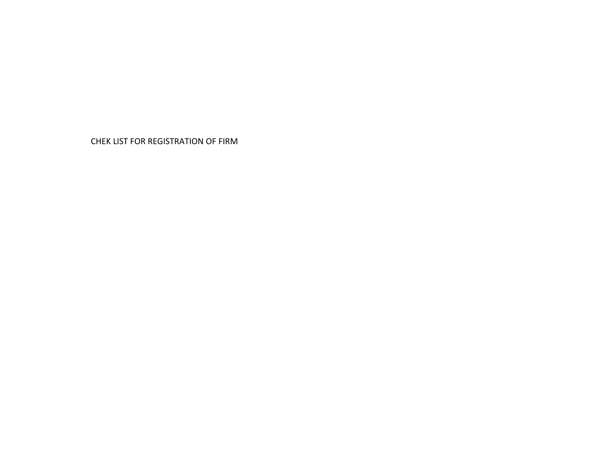CHEK LIST FOR REGISTRATION OF FIRM